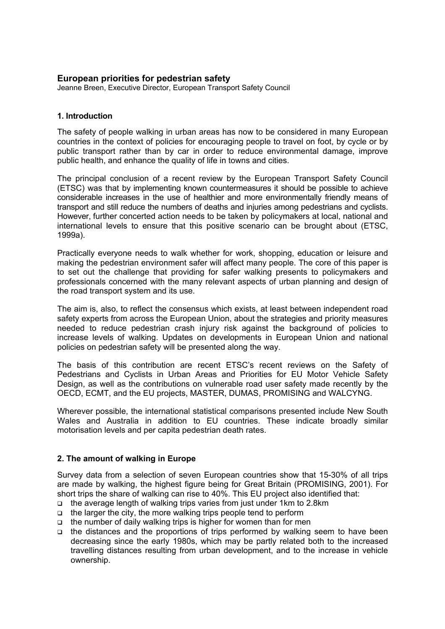## **European priorities for pedestrian safety**

Jeanne Breen, Executive Director, European Transport Safety Council

#### **1. Introduction**

The safety of people walking in urban areas has now to be considered in many European countries in the context of policies for encouraging people to travel on foot, by cycle or by public transport rather than by car in order to reduce environmental damage, improve public health, and enhance the quality of life in towns and cities.

The principal conclusion of a recent review by the European Transport Safety Council (ETSC) was that by implementing known countermeasures it should be possible to achieve considerable increases in the use of healthier and more environmentally friendly means of transport and still reduce the numbers of deaths and injuries among pedestrians and cyclists. However, further concerted action needs to be taken by policymakers at local, national and international levels to ensure that this positive scenario can be brought about (ETSC, 1999a).

Practically everyone needs to walk whether for work, shopping, education or leisure and making the pedestrian environment safer will affect many people. The core of this paper is to set out the challenge that providing for safer walking presents to policymakers and professionals concerned with the many relevant aspects of urban planning and design of the road transport system and its use.

The aim is, also, to reflect the consensus which exists, at least between independent road safety experts from across the European Union, about the strategies and priority measures needed to reduce pedestrian crash injury risk against the background of policies to increase levels of walking. Updates on developments in European Union and national policies on pedestrian safety will be presented along the way.

The basis of this contribution are recent ETSC's recent reviews on the Safety of Pedestrians and Cyclists in Urban Areas and Priorities for EU Motor Vehicle Safety Design, as well as the contributions on vulnerable road user safety made recently by the OECD, ECMT, and the EU projects, MASTER, DUMAS, PROMISING and WALCYNG.

Wherever possible, the international statistical comparisons presented include New South Wales and Australia in addition to EU countries. These indicate broadly similar motorisation levels and per capita pedestrian death rates.

## **2. The amount of walking in Europe**

Survey data from a selection of seven European countries show that 15-30% of all trips are made by walking, the highest figure being for Great Britain (PROMISING, 2001). For short trips the share of walking can rise to 40%. This EU project also identified that:

- the average length of walking trips varies from just under 1km to 2.8km
- $\Box$  the larger the city, the more walking trips people tend to perform
- $\Box$  the number of daily walking trips is higher for women than for men
- the distances and the proportions of trips performed by walking seem to have been decreasing since the early 1980s, which may be partly related both to the increased travelling distances resulting from urban development, and to the increase in vehicle ownership.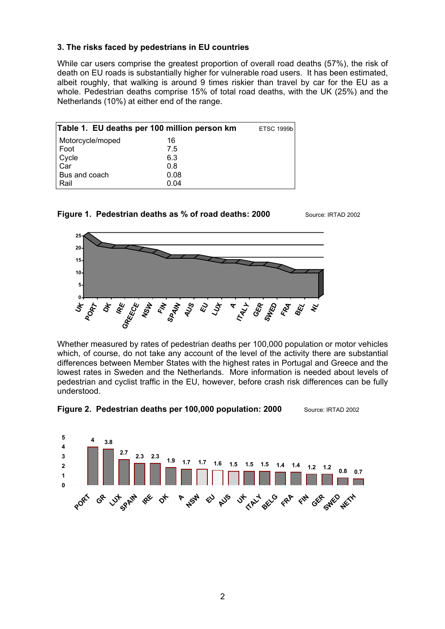## **3. The risks faced by pedestrians in EU countries**

While car users comprise the greatest proportion of overall road deaths (57%), the risk of death on EU roads is substantially higher for vulnerable road users. It has been estimated, albeit roughly, that walking is around 9 times riskier than travel by car for the EU as a whole. Pedestrian deaths comprise 15% of total road deaths, with the UK (25%) and the Netherlands (10%) at either end of the range.

|                  | Table 1. EU deaths per 100 million person km | <b>ETSC 1999b</b> |
|------------------|----------------------------------------------|-------------------|
| Motorcycle/moped | 16                                           |                   |
| Foot             | 7.5                                          |                   |
| Cycle            | 6.3                                          |                   |
| Car              | 0.8                                          |                   |
| Bus and coach    | 0.08                                         |                   |
| Rail             | 0.04                                         |                   |





Whether measured by rates of pedestrian deaths per 100,000 population or motor vehicles which, of course, do not take any account of the level of the activity there are substantial differences between Member States with the highest rates in Portugal and Greece and the lowest rates in Sweden and the Netherlands. More information is needed about levels of pedestrian and cyclist traffic in the EU, however, before crash risk differences can be fully understood.



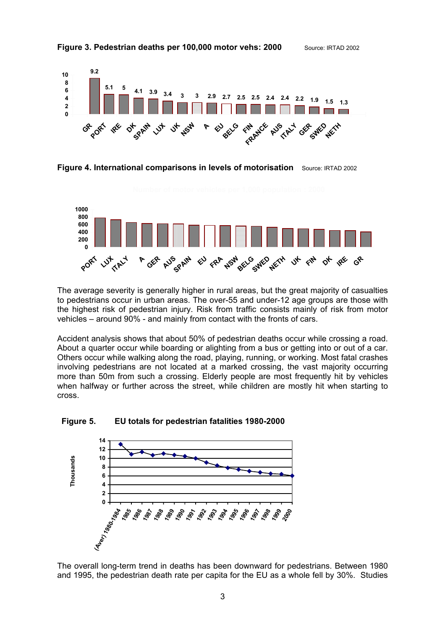





The average severity is generally higher in rural areas, but the great majority of casualties to pedestrians occur in urban areas. The over-55 and under-12 age groups are those with the highest risk of pedestrian injury. Risk from traffic consists mainly of risk from motor vehicles – around 90% - and mainly from contact with the fronts of cars.

Accident analysis shows that about 50% of pedestrian deaths occur while crossing a road. About a quarter occur while boarding or alighting from a bus or getting into or out of a car. Others occur while walking along the road, playing, running, or working. Most fatal crashes involving pedestrians are not located at a marked crossing, the vast majority occurring more than 50m from such a crossing. Elderly people are most frequently hit by vehicles when halfway or further across the street, while children are mostly hit when starting to cross.





The overall long-term trend in deaths has been downward for pedestrians. Between 1980 and 1995, the pedestrian death rate per capita for the EU as a whole fell by 30%. Studies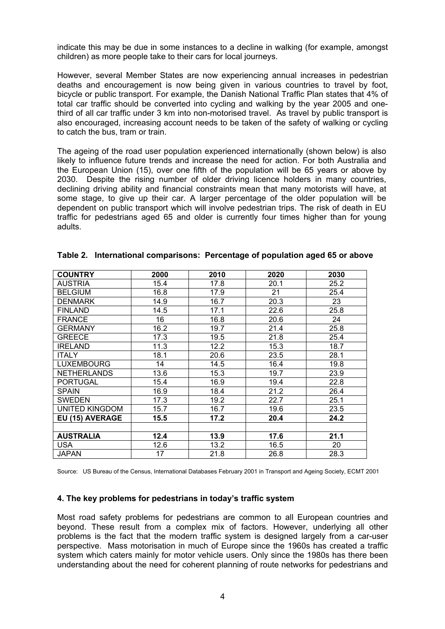indicate this may be due in some instances to a decline in walking (for example, amongst children) as more people take to their cars for local journeys.

However, several Member States are now experiencing annual increases in pedestrian deaths and encouragement is now being given in various countries to travel by foot, bicycle or public transport. For example, the Danish National Traffic Plan states that 4% of total car traffic should be converted into cycling and walking by the year 2005 and onethird of all car traffic under 3 km into non-motorised travel. As travel by public transport is also encouraged, increasing account needs to be taken of the safety of walking or cycling to catch the bus, tram or train.

The ageing of the road user population experienced internationally (shown below) is also likely to influence future trends and increase the need for action. For both Australia and the European Union (15), over one fifth of the population will be 65 years or above by 2030. Despite the rising number of older driving licence holders in many countries, declining driving ability and financial constraints mean that many motorists will have, at some stage, to give up their car. A larger percentage of the older population will be dependent on public transport which will involve pedestrian trips. The risk of death in EU traffic for pedestrians aged 65 and older is currently four times higher than for young adults.

| <b>COUNTRY</b>        | 2000 | 2010 | 2020 | 2030 |
|-----------------------|------|------|------|------|
| <b>AUSTRIA</b>        | 15.4 | 17.8 | 20.1 | 25.2 |
| <b>BELGIUM</b>        | 16.8 | 17.9 | 21   | 25.4 |
| <b>DENMARK</b>        | 14.9 | 16.7 | 20.3 | 23   |
| <b>FINLAND</b>        | 14.5 | 17.1 | 22.6 | 25.8 |
| <b>FRANCE</b>         | 16   | 16.8 | 20.6 | 24   |
| <b>GERMANY</b>        | 16.2 | 19.7 | 21.4 | 25.8 |
| <b>GREECE</b>         | 17.3 | 19.5 | 21.8 | 25.4 |
| <b>IRELAND</b>        | 11.3 | 12.2 | 15.3 | 18.7 |
| <b>ITALY</b>          | 18.1 | 20.6 | 23.5 | 28.1 |
| <b>LUXEMBOURG</b>     | 14   | 14.5 | 16.4 | 19.8 |
| <b>NETHERLANDS</b>    | 13.6 | 15.3 | 19.7 | 23.9 |
| <b>PORTUGAL</b>       | 15.4 | 16.9 | 19.4 | 22.8 |
| <b>SPAIN</b>          | 16.9 | 18.4 | 21.2 | 26.4 |
| SWEDEN                | 17.3 | 19.2 | 22.7 | 25.1 |
| <b>UNITED KINGDOM</b> | 15.7 | 16.7 | 19.6 | 23.5 |
| EU (15) AVERAGE       | 15.5 | 17.2 | 20.4 | 24.2 |
|                       |      |      |      |      |
| <b>AUSTRALIA</b>      | 12.4 | 13.9 | 17.6 | 21.1 |
| <b>USA</b>            | 12.6 | 13.2 | 16.5 | 20   |
| <b>JAPAN</b>          | 17   | 21.8 | 26.8 | 28.3 |

#### **Table 2. International comparisons: Percentage of population aged 65 or above**

Source: US Bureau of the Census, International Databases February 2001 in Transport and Ageing Society, ECMT 2001

#### **4. The key problems for pedestrians in today's traffic system**

Most road safety problems for pedestrians are common to all European countries and beyond. These result from a complex mix of factors. However, underlying all other problems is the fact that the modern traffic system is designed largely from a car-user perspective. Mass motorisation in much of Europe since the 1960s has created a traffic system which caters mainly for motor vehicle users. Only since the 1980s has there been understanding about the need for coherent planning of route networks for pedestrians and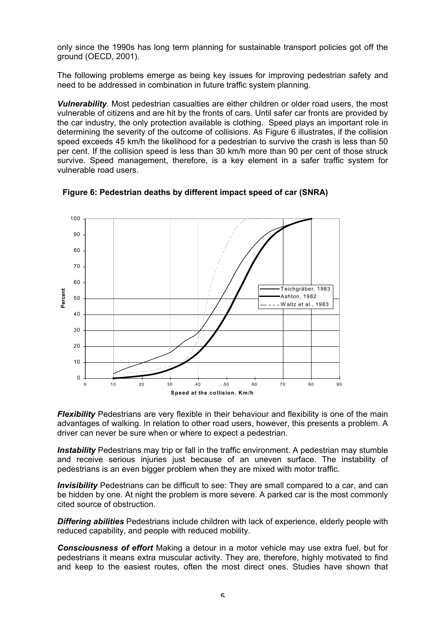only since the 1990s has long term planning for sustainable transport policies got off the ground (OECD, 2001).

The following problems emerge as being key issues for improving pedestrian safety and need to be addressed in combination in future traffic system planning.

*Vulnerability*. Most pedestrian casualties are either children or older road users, the most vulnerable of citizens and are hit by the fronts of cars. Until safer car fronts are provided by the car industry, the only protection available is clothing. Speed plays an important role in determining the severity of the outcome of collisions. As Figure 6 illustrates, if the collision speed exceeds 45 km/h the likelihood for a pedestrian to survive the crash is less than 50 per cent. If the collision speed is less than 30 km/h more than 90 per cent of those struck survive. Speed management, therefore, is a key element in a safer traffic system for vulnerable road users.



**Figure 6: Pedestrian deaths by different impact speed of car (SNRA)** 

*Flexibility* Pedestrians are very flexible in their behaviour and flexibility is one of the main advantages of walking. In relation to other road users, however, this presents a problem. A driver can never be sure when or where to expect a pedestrian.

*Instability* Pedestrians may trip or fall in the traffic environment. A pedestrian may stumble and receive serious injuries just because of an uneven surface. The instability of pedestrians is an even bigger problem when they are mixed with motor traffic.

**Invisibility** Pedestrians can be difficult to see: They are small compared to a car, and can be hidden by one. At night the problem is more severe. A parked car is the most commonly cited source of obstruction.

*Differing abilities* Pedestrians include children with lack of experience, elderly people with reduced capability, and people with reduced mobility.

*Consciousness of effort* Making a detour in a motor vehicle may use extra fuel, but for pedestrians it means extra muscular activity. They are, therefore, highly motivated to find and keep to the easiest routes, often the most direct ones. Studies have shown that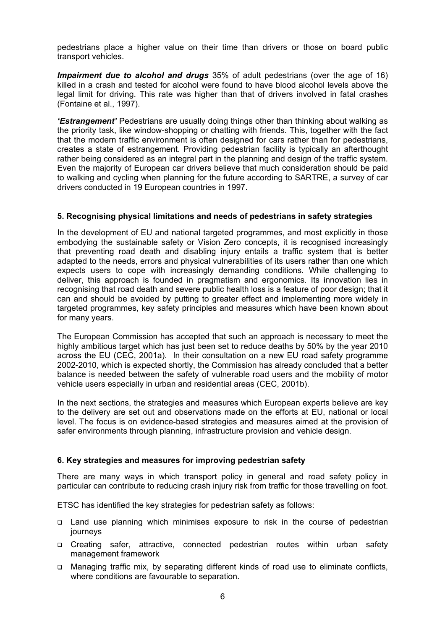pedestrians place a higher value on their time than drivers or those on board public transport vehicles.

*Impairment due to alcohol and drugs* 35% of adult pedestrians (over the age of 16) killed in a crash and tested for alcohol were found to have blood alcohol levels above the legal limit for driving. This rate was higher than that of drivers involved in fatal crashes (Fontaine et al., 1997).

*'Estrangement'* Pedestrians are usually doing things other than thinking about walking as the priority task, like window-shopping or chatting with friends. This, together with the fact that the modern traffic environment is often designed for cars rather than for pedestrians, creates a state of estrangement. Providing pedestrian facility is typically an afterthought rather being considered as an integral part in the planning and design of the traffic system. Even the majority of European car drivers believe that much consideration should be paid to walking and cycling when planning for the future according to SARTRE, a survey of car drivers conducted in 19 European countries in 1997.

## **5. Recognising physical limitations and needs of pedestrians in safety strategies**

In the development of EU and national targeted programmes, and most explicitly in those embodying the sustainable safety or Vision Zero concepts, it is recognised increasingly that preventing road death and disabling injury entails a traffic system that is better adapted to the needs, errors and physical vulnerabilities of its users rather than one which expects users to cope with increasingly demanding conditions. While challenging to deliver, this approach is founded in pragmatism and ergonomics. Its innovation lies in recognising that road death and severe public health loss is a feature of poor design; that it can and should be avoided by putting to greater effect and implementing more widely in targeted programmes, key safety principles and measures which have been known about for many years.

The European Commission has accepted that such an approach is necessary to meet the highly ambitious target which has just been set to reduce deaths by 50% by the year 2010 across the EU (CEC, 2001a). In their consultation on a new EU road safety programme 2002-2010, which is expected shortly, the Commission has already concluded that a better balance is needed between the safety of vulnerable road users and the mobility of motor vehicle users especially in urban and residential areas (CEC, 2001b).

In the next sections, the strategies and measures which European experts believe are key to the delivery are set out and observations made on the efforts at EU, national or local level. The focus is on evidence-based strategies and measures aimed at the provision of safer environments through planning, infrastructure provision and vehicle design.

## **6. Key strategies and measures for improving pedestrian safety**

There are many ways in which transport policy in general and road safety policy in particular can contribute to reducing crash injury risk from traffic for those travelling on foot.

ETSC has identified the key strategies for pedestrian safety as follows:

- Land use planning which minimises exposure to risk in the course of pedestrian journeys
- Creating safer, attractive, connected pedestrian routes within urban safety management framework
- □ Managing traffic mix, by separating different kinds of road use to eliminate conflicts, where conditions are favourable to separation.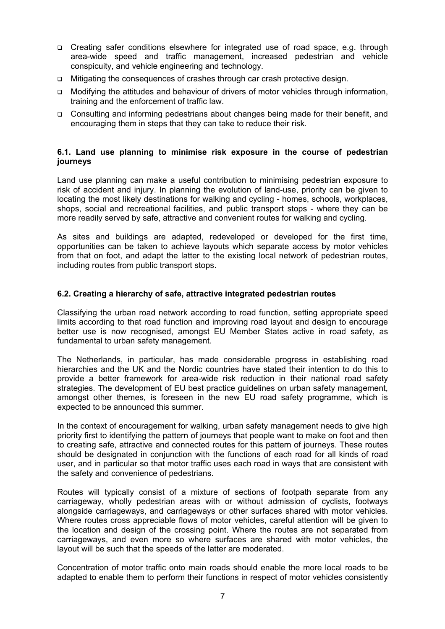- Creating safer conditions elsewhere for integrated use of road space, e.g. through area-wide speed and traffic management, increased pedestrian and vehicle conspicuity, and vehicle engineering and technology.
- Mitigating the consequences of crashes through car crash protective design.
- Modifying the attitudes and behaviour of drivers of motor vehicles through information, training and the enforcement of traffic law.
- Consulting and informing pedestrians about changes being made for their benefit, and encouraging them in steps that they can take to reduce their risk.

#### **6.1. Land use planning to minimise risk exposure in the course of pedestrian journeys**

Land use planning can make a useful contribution to minimising pedestrian exposure to risk of accident and injury. In planning the evolution of land-use, priority can be given to locating the most likely destinations for walking and cycling - homes, schools, workplaces, shops, social and recreational facilities, and public transport stops - where they can be more readily served by safe, attractive and convenient routes for walking and cycling.

As sites and buildings are adapted, redeveloped or developed for the first time, opportunities can be taken to achieve layouts which separate access by motor vehicles from that on foot, and adapt the latter to the existing local network of pedestrian routes, including routes from public transport stops.

#### **6.2. Creating a hierarchy of safe, attractive integrated pedestrian routes**

Classifying the urban road network according to road function, setting appropriate speed limits according to that road function and improving road layout and design to encourage better use is now recognised, amongst EU Member States active in road safety, as fundamental to urban safety management.

The Netherlands, in particular, has made considerable progress in establishing road hierarchies and the UK and the Nordic countries have stated their intention to do this to provide a better framework for area-wide risk reduction in their national road safety strategies. The development of EU best practice guidelines on urban safety management, amongst other themes, is foreseen in the new EU road safety programme, which is expected to be announced this summer.

In the context of encouragement for walking, urban safety management needs to give high priority first to identifying the pattern of journeys that people want to make on foot and then to creating safe, attractive and connected routes for this pattern of journeys. These routes should be designated in conjunction with the functions of each road for all kinds of road user, and in particular so that motor traffic uses each road in ways that are consistent with the safety and convenience of pedestrians.

Routes will typically consist of a mixture of sections of footpath separate from any carriageway, wholly pedestrian areas with or without admission of cyclists, footways alongside carriageways, and carriageways or other surfaces shared with motor vehicles. Where routes cross appreciable flows of motor vehicles, careful attention will be given to the location and design of the crossing point. Where the routes are not separated from carriageways, and even more so where surfaces are shared with motor vehicles, the layout will be such that the speeds of the latter are moderated.

Concentration of motor traffic onto main roads should enable the more local roads to be adapted to enable them to perform their functions in respect of motor vehicles consistently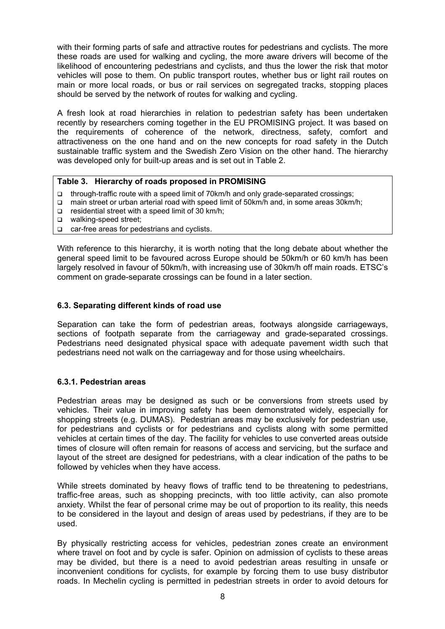with their forming parts of safe and attractive routes for pedestrians and cyclists. The more these roads are used for walking and cycling, the more aware drivers will become of the likelihood of encountering pedestrians and cyclists, and thus the lower the risk that motor vehicles will pose to them. On public transport routes, whether bus or light rail routes on main or more local roads, or bus or rail services on segregated tracks, stopping places should be served by the network of routes for walking and cycling.

A fresh look at road hierarchies in relation to pedestrian safety has been undertaken recently by researchers coming together in the EU PROMISING project. It was based on the requirements of coherence of the network, directness, safety, comfort and attractiveness on the one hand and on the new concepts for road safety in the Dutch sustainable traffic system and the Swedish Zero Vision on the other hand. The hierarchy was developed only for built-up areas and is set out in Table 2.

## **Table 3. Hierarchy of roads proposed in PROMISING**

- through-traffic route with a speed limit of 70km/h and only grade-separated crossings;
- □ main street or urban arterial road with speed limit of 50km/h and, in some areas 30km/h;
- $\Box$  residential street with a speed limit of 30 km/h;
- □ walking-speed street;
- car-free areas for pedestrians and cyclists.

With reference to this hierarchy, it is worth noting that the long debate about whether the general speed limit to be favoured across Europe should be 50km/h or 60 km/h has been largely resolved in favour of 50km/h, with increasing use of 30km/h off main roads. ETSC's comment on grade-separate crossings can be found in a later section.

## **6.3. Separating different kinds of road use**

Separation can take the form of pedestrian areas, footways alongside carriageways, sections of footpath separate from the carriageway and grade-separated crossings. Pedestrians need designated physical space with adequate pavement width such that pedestrians need not walk on the carriageway and for those using wheelchairs.

## **6.3.1. Pedestrian areas**

Pedestrian areas may be designed as such or be conversions from streets used by vehicles. Their value in improving safety has been demonstrated widely, especially for shopping streets (e.g. DUMAS). Pedestrian areas may be exclusively for pedestrian use, for pedestrians and cyclists or for pedestrians and cyclists along with some permitted vehicles at certain times of the day. The facility for vehicles to use converted areas outside times of closure will often remain for reasons of access and servicing, but the surface and layout of the street are designed for pedestrians, with a clear indication of the paths to be followed by vehicles when they have access.

While streets dominated by heavy flows of traffic tend to be threatening to pedestrians, traffic*-*free areas, such as shopping precincts, with too little activity, can also promote anxiety. Whilst the fear of personal crime may be out of proportion to its reality, this needs to be considered in the layout and design of areas used by pedestrians, if they are to be used.

By physically restricting access for vehicles, pedestrian zones create an environment where travel on foot and by cycle is safer. Opinion on admission of cyclists to these areas may be divided, but there is a need to avoid pedestrian areas resulting in unsafe or inconvenient conditions for cyclists, for example by forcing them to use busy distributor roads. In Mechelin cycling is permitted in pedestrian streets in order to avoid detours for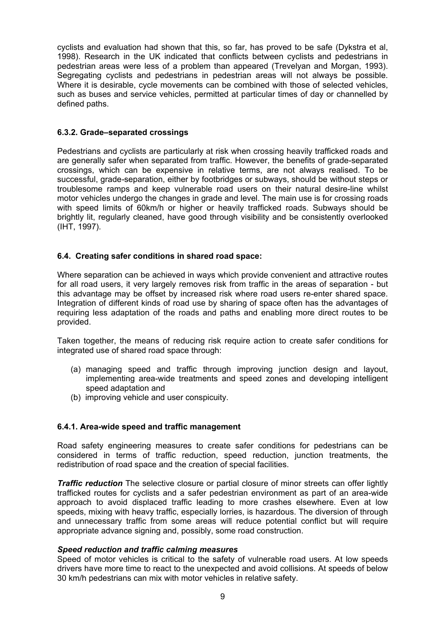cyclists and evaluation had shown that this, so far, has proved to be safe (Dykstra et al, 1998). Research in the UK indicated that conflicts between cyclists and pedestrians in pedestrian areas were less of a problem than appeared (Trevelyan and Morgan, 1993). Segregating cyclists and pedestrians in pedestrian areas will not always be possible. Where it is desirable, cycle movements can be combined with those of selected vehicles, such as buses and service vehicles, permitted at particular times of day or channelled by defined paths.

## **6.3.2. Grade–separated crossings**

Pedestrians and cyclists are particularly at risk when crossing heavily trafficked roads and are generally safer when separated from traffic. However, the benefits of grade-separated crossings, which can be expensive in relative terms, are not always realised. To be successful, grade*-*separation, either by footbridges or subways, should be without steps or troublesome ramps and keep vulnerable road users on their natural desire-line whilst motor vehicles undergo the changes in grade and level. The main use is for crossing roads with speed limits of 60km/h or higher or heavily trafficked roads. Subways should be brightly lit, regularly cleaned, have good through visibility and be consistently overlooked (IHT, 1997).

# **6.4. Creating safer conditions in shared road space:**

Where separation can be achieved in ways which provide convenient and attractive routes for all road users, it very largely removes risk from traffic in the areas of separation - but this advantage may be offset by increased risk where road users re-enter shared space. Integration of different kinds of road use by sharing of space often has the advantages of requiring less adaptation of the roads and paths and enabling more direct routes to be provided.

Taken together, the means of reducing risk require action to create safer conditions for integrated use of shared road space through:

- (a) managing speed and traffic through improving junction design and layout, implementing area-wide treatments and speed zones and developing intelligent speed adaptation and
- (b) improving vehicle and user conspicuity.

## **6.4.1. Area-wide speed and traffic management**

Road safety engineering measures to create safer conditions for pedestrians can be considered in terms of traffic reduction, speed reduction, junction treatments, the redistribution of road space and the creation of special facilities.

*Traffic reduction* The selective closure or partial closure of minor streets can offer lightly trafficked routes for cyclists and a safer pedestrian environment as part of an area-wide approach to avoid displaced traffic leading to more crashes elsewhere. Even at low speeds, mixing with heavy traffic, especially lorries, is hazardous. The diversion of through and unnecessary traffic from some areas will reduce potential conflict but will require appropriate advance signing and, possibly, some road construction.

## *Speed reduction and traffic calming measures*

Speed of motor vehicles is critical to the safety of vulnerable road users. At low speeds drivers have more time to react to the unexpected and avoid collisions. At speeds of below 30 km/h pedestrians can mix with motor vehicles in relative safety.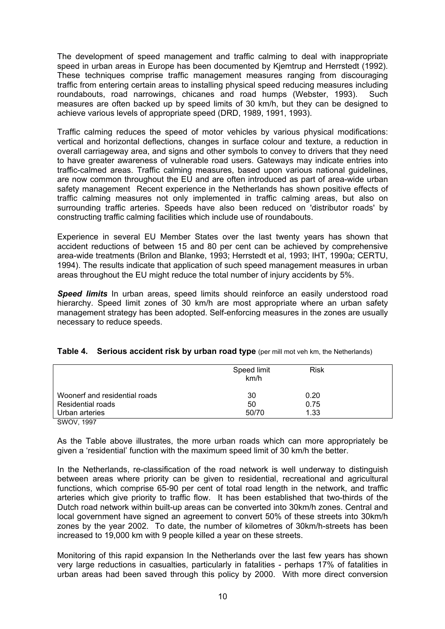The development of speed management and traffic calming to deal with inappropriate speed in urban areas in Europe has been documented by Kjemtrup and Herrstedt (1992). These techniques comprise traffic management measures ranging from discouraging traffic from entering certain areas to installing physical speed reducing measures including roundabouts, road narrowings, chicanes and road humps (Webster, 1993). Such measures are often backed up by speed limits of 30 km/h, but they can be designed to achieve various levels of appropriate speed (DRD, 1989, 1991, 1993).

Traffic calming reduces the speed of motor vehicles by various physical modifications: vertical and horizontal deflections, changes in surface colour and texture, a reduction in overall carriageway area, and signs and other symbols to convey to drivers that they need to have greater awareness of vulnerable road users. Gateways may indicate entries into traffic-calmed areas. Traffic calming measures, based upon various national guidelines, are now common throughout the EU and are often introduced as part of area-wide urban safety management Recent experience in the Netherlands has shown positive effects of traffic calming measures not only implemented in traffic calming areas, but also on surrounding traffic arteries. Speeds have also been reduced on 'distributor roads' by constructing traffic calming facilities which include use of roundabouts.

Experience in several EU Member States over the last twenty years has shown that accident reductions of between 15 and 80 per cent can be achieved by comprehensive area-wide treatments (Brilon and Blanke, 1993; Herrstedt et al, 1993; IHT, 1990a; CERTU, 1994). The results indicate that application of such speed management measures in urban areas throughout the EU might reduce the total number of injury accidents by 5%.

**Speed limits** In urban areas, speed limits should reinforce an easily understood road hierarchy. Speed limit zones of 30 km/h are most appropriate where an urban safety management strategy has been adopted. Self-enforcing measures in the zones are usually necessary to reduce speeds.

|                               | Speed limit<br>km/h | <b>Risk</b> |  |
|-------------------------------|---------------------|-------------|--|
| Woonerf and residential roads | 30                  | 0.20        |  |
| Residential roads             | 50                  | 0.75        |  |
| Urban arteries                | 50/70               | 1.33        |  |
| SWOV, 1997                    |                     |             |  |

## **Table 4.** Serious accident risk by urban road type (per mill mot veh km, the Netherlands)

As the Table above illustrates, the more urban roads which can more appropriately be given a 'residential' function with the maximum speed limit of 30 km/h the better.

In the Netherlands, re-classification of the road network is well underway to distinguish between areas where priority can be given to residential, recreational and agricultural functions, which comprise 65-90 per cent of total road length in the network, and traffic arteries which give priority to traffic flow. It has been established that two-thirds of the Dutch road network within built-up areas can be converted into 30km/h zones. Central and local government have signed an agreement to convert 50% of these streets into 30km/h zones by the year 2002. To date, the number of kilometres of 30km/h-streets has been increased to 19,000 km with 9 people killed a year on these streets.

Monitoring of this rapid expansion In the Netherlands over the last few years has shown very large reductions in casualties, particularly in fatalities - perhaps 17% of fatalities in urban areas had been saved through this policy by 2000. With more direct conversion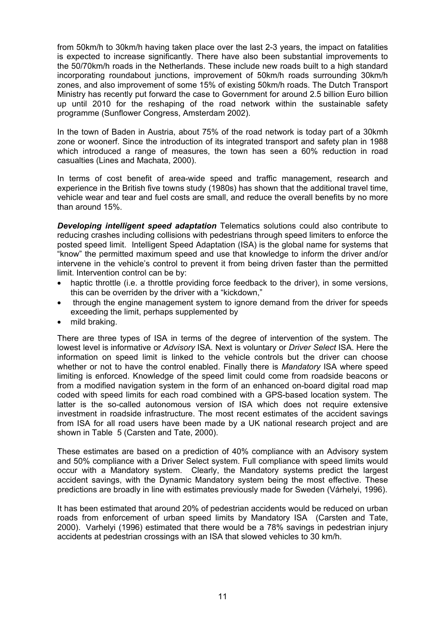from 50km/h to 30km/h having taken place over the last 2-3 years, the impact on fatalities is expected to increase significantly. There have also been substantial improvements to the 50/70km/h roads in the Netherlands. These include new roads built to a high standard incorporating roundabout junctions, improvement of 50km/h roads surrounding 30km/h zones, and also improvement of some 15% of existing 50km/h roads. The Dutch Transport Ministry has recently put forward the case to Government for around 2.5 billion Euro billion up until 2010 for the reshaping of the road network within the sustainable safety programme (Sunflower Congress, Amsterdam 2002).

In the town of Baden in Austria, about 75% of the road network is today part of a 30kmh zone or woonerf. Since the introduction of its integrated transport and safety plan in 1988 which introduced a range of measures, the town has seen a 60% reduction in road casualties (Lines and Machata, 2000).

In terms of cost benefit of area-wide speed and traffic management, research and experience in the British five towns study (1980s) has shown that the additional travel time, vehicle wear and tear and fuel costs are small, and reduce the overall benefits by no more than around 15%.

*Developing intelligent speed adaptation* Telematics solutions could also contribute to reducing crashes including collisions with pedestrians through speed limiters to enforce the posted speed limit. Intelligent Speed Adaptation (ISA) is the global name for systems that "know" the permitted maximum speed and use that knowledge to inform the driver and/or intervene in the vehicle's control to prevent it from being driven faster than the permitted limit. Intervention control can be by:

- haptic throttle (i.e. a throttle providing force feedback to the driver), in some versions, this can be overriden by the driver with a "kickdown,"
- through the engine management system to ignore demand from the driver for speeds exceeding the limit, perhaps supplemented by
- mild braking.

There are three types of ISA in terms of the degree of intervention of the system. The lowest level is informative or *Advisory* ISA. Next is voluntary or *Driver Select* ISA. Here the information on speed limit is linked to the vehicle controls but the driver can choose whether or not to have the control enabled. Finally there is *Mandatory* ISA where speed limiting is enforced. Knowledge of the speed limit could come from roadside beacons or from a modified navigation system in the form of an enhanced on-board digital road map coded with speed limits for each road combined with a GPS-based location system. The latter is the so-called autonomous version of ISA which does not require extensive investment in roadside infrastructure. The most recent estimates of the accident savings from ISA for all road users have been made by a UK national research project and are shown in Table 5 (Carsten and Tate, 2000).

These estimates are based on a prediction of 40% compliance with an Advisory system and 50% compliance with a Driver Select system. Full compliance with speed limits would occur with a Mandatory system. Clearly, the Mandatory systems predict the largest accident savings, with the Dynamic Mandatory system being the most effective. These predictions are broadly in line with estimates previously made for Sweden (Várhelyi, 1996).

It has been estimated that around 20% of pedestrian accidents would be reduced on urban roads from enforcement of urban speed limits by Mandatory ISA (Carsten and Tate, 2000). Varhelyi (1996) estimated that there would be a 78% savings in pedestrian injury accidents at pedestrian crossings with an ISA that slowed vehicles to 30 km/h.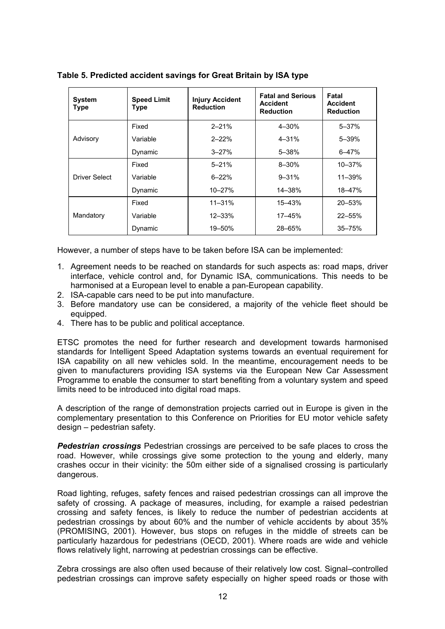| <b>System</b><br><b>Type</b> | <b>Speed Limit</b><br><b>Type</b> | <b>Injury Accident</b><br><b>Reduction</b> | <b>Fatal and Serious</b><br><b>Accident</b><br><b>Reduction</b> | Fatal<br><b>Accident</b><br><b>Reduction</b> |
|------------------------------|-----------------------------------|--------------------------------------------|-----------------------------------------------------------------|----------------------------------------------|
| Advisory                     | Fixed                             | $2 - 21%$                                  | 4-30%                                                           | $5 - 37%$                                    |
|                              | Variable                          | $2 - 22%$                                  | $4 - 31%$                                                       | $5 - 39%$                                    |
|                              | Dynamic                           | $3 - 27%$                                  | $5 - 38%$                                                       | $6 - 47%$                                    |
| Driver Select                | Fixed                             | $5 - 21%$                                  | $8 - 30%$                                                       | 10-37%                                       |
|                              | Variable                          | $6 - 22%$                                  | $9 - 31%$                                                       | $11 - 39%$                                   |
|                              | Dynamic                           | 10-27%                                     | 14-38%                                                          | 18-47%                                       |
| Mandatory                    | Fixed                             | $11 - 31%$                                 | 15–43%                                                          | $20 - 53%$                                   |
|                              | Variable                          | $12 - 33%$                                 | 17-45%                                                          | $22 - 55%$                                   |
|                              | Dynamic                           | 19-50%                                     | 28-65%                                                          | $35 - 75%$                                   |

**Table 5. Predicted accident savings for Great Britain by ISA type** 

However, a number of steps have to be taken before ISA can be implemented:

- 1. Agreement needs to be reached on standards for such aspects as: road maps, driver interface, vehicle control and, for Dynamic ISA, communications. This needs to be harmonised at a European level to enable a pan-European capability.
- 2. ISA-capable cars need to be put into manufacture.
- 3. Before mandatory use can be considered, a majority of the vehicle fleet should be equipped.
- 4. There has to be public and political acceptance.

ETSC promotes the need for further research and development towards harmonised standards for Intelligent Speed Adaptation systems towards an eventual requirement for ISA capability on all new vehicles sold. In the meantime, encouragement needs to be given to manufacturers providing ISA systems via the European New Car Assessment Programme to enable the consumer to start benefiting from a voluntary system and speed limits need to be introduced into digital road maps.

A description of the range of demonstration projects carried out in Europe is given in the complementary presentation to this Conference on Priorities for EU motor vehicle safety design – pedestrian safety.

*Pedestrian crossings* Pedestrian crossings are perceived to be safe places to cross the road. However, while crossings give some protection to the young and elderly, many crashes occur in their vicinity: the 50m either side of a signalised crossing is particularly dangerous.

Road lighting, refuges, safety fences and raised pedestrian crossings can all improve the safety of crossing. A package of measures, including, for example a raised pedestrian crossing and safety fences, is likely to reduce the number of pedestrian accidents at pedestrian crossings by about 60% and the number of vehicle accidents by about 35% (PROMISING, 2001). However, bus stops on refuges in the middle of streets can be particularly hazardous for pedestrians (OECD, 2001). Where roads are wide and vehicle flows relatively light, narrowing at pedestrian crossings can be effective.

Zebra crossings are also often used because of their relatively low cost. Signal*–*controlled pedestrian crossings can improve safety especially on higher speed roads or those with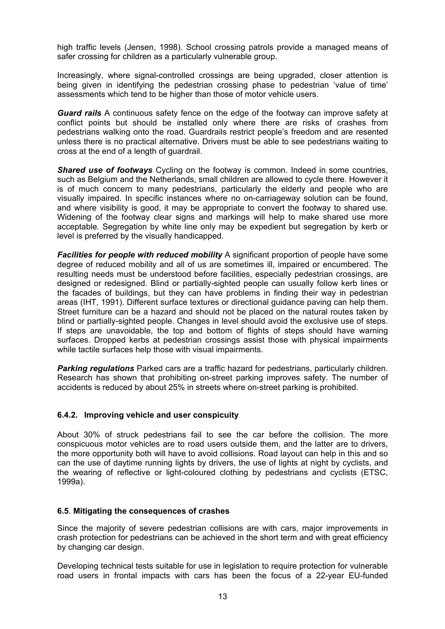high traffic levels (Jensen, 1998). School crossing patrols provide a managed means of safer crossing for children as a particularly vulnerable group.

Increasingly, where signal-controlled crossings are being upgraded, closer attention is being given in identifying the pedestrian crossing phase to pedestrian 'value of time' assessments which tend to be higher than those of motor vehicle users.

*Guard rails* A continuous safety fence on the edge of the footway can improve safety at conflict points but should be installed only where there are risks of crashes from pedestrians walking onto the road. Guardrails restrict people's freedom and are resented unless there is no practical alternative. Drivers must be able to see pedestrians waiting to cross at the end of a length of guardrail.

*Shared use of footways* Cycling on the footway is common. Indeed in some countries, such as Belgium and the Netherlands, small children are allowed to cycle there. However it is of much concern to many pedestrians, particularly the elderly and people who are visually impaired. In specific instances where no on-carriageway solution can be found, and where visibility is good, it may be appropriate to convert the footway to shared use. Widening of the footway clear signs and markings will help to make shared use more acceptable. Segregation by white line only may be expedient but segregation by kerb or level is preferred by the visually handicapped.

*Facilities for people with reduced mobility* A significant proportion of people have some degree of reduced mobility and all of us are sometimes ill, impaired or encumbered. The resulting needs must be understood before facilities, especially pedestrian crossings, are designed or redesigned. Blind or partially*-*sighted people can usually follow kerb lines or the facades of buildings, but they can have problems in finding their way in pedestrian areas (IHT, 1991). Different surface textures or directional guidance paving can help them. Street furniture can be a hazard and should not be placed on the natural routes taken by blind or partially*-*sighted people. Changes in level should avoid the exclusive use of steps. If steps are unavoidable, the top and bottom of flights of steps should have warning surfaces. Dropped kerbs at pedestrian crossings assist those with physical impairments while tactile surfaces help those with visual impairments.

*Parking regulations* Parked cars are a traffic hazard for pedestrians, particularly children. Research has shown that prohibiting on-street parking improves safety. The number of accidents is reduced by about 25% in streets where on-street parking is prohibited.

## **6.4.2. Improving vehicle and user conspicuity**

About 30% of struck pedestrians fail to see the car before the collision. The more conspicuous motor vehicles are to road users outside them, and the latter are to drivers, the more opportunity both will have to avoid collisions. Road layout can help in this and so can the use of daytime running lights by drivers, the use of lights at night by cyclists, and the wearing of reflective or light-coloured clothing by pedestrians and cyclists (ETSC, 1999a).

#### **6.5**. **Mitigating the consequences of crashes**

Since the majority of severe pedestrian collisions are with cars, major improvements in crash protection for pedestrians can be achieved in the short term and with great efficiency by changing car design.

Developing technical tests suitable for use in legislation to require protection for vulnerable road users in frontal impacts with cars has been the focus of a 22-year EU-funded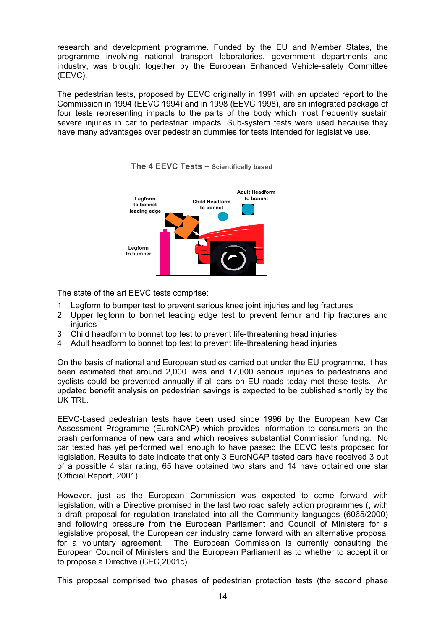research and development programme. Funded by the EU and Member States, the programme involving national transport laboratories, government departments and industry, was brought together by the European Enhanced Vehicle-safety Committee (EEVC).

The pedestrian tests, proposed by EEVC originally in 1991 with an updated report to the Commission in 1994 (EEVC 1994) and in 1998 (EEVC 1998), are an integrated package of four tests representing impacts to the parts of the body which most frequently sustain severe injuries in car to pedestrian impacts. Sub-system tests were used because they have many advantages over pedestrian dummies for tests intended for legislative use.





The state of the art EEVC tests comprise:

- 1. Legform to bumper test to prevent serious knee joint injuries and leg fractures
- 2. Upper legform to bonnet leading edge test to prevent femur and hip fractures and injuries
- 3. Child headform to bonnet top test to prevent life-threatening head injuries
- 4. Adult headform to bonnet top test to prevent life-threatening head injuries

On the basis of national and European studies carried out under the EU programme, it has been estimated that around 2,000 lives and 17,000 serious injuries to pedestrians and cyclists could be prevented annually if all cars on EU roads today met these tests. An updated benefit analysis on pedestrian savings is expected to be published shortly by the UK TRL.

EEVC-based pedestrian tests have been used since 1996 by the European New Car Assessment Programme (EuroNCAP) which provides information to consumers on the crash performance of new cars and which receives substantial Commission funding. No car tested has yet performed well enough to have passed the EEVC tests proposed for legislation. Results to date indicate that only 3 EuroNCAP tested cars have received 3 out of a possible 4 star rating, 65 have obtained two stars and 14 have obtained one star (Official Report, 2001).

However, just as the European Commission was expected to come forward with legislation, with a Directive promised in the last two road safety action programmes (, with a draft proposal for regulation translated into all the Community languages (6065/2000) and following pressure from the European Parliament and Council of Ministers for a legislative proposal, the European car industry came forward with an alternative proposal for a voluntary agreement. The European Commission is currently consulting the European Council of Ministers and the European Parliament as to whether to accept it or to propose a Directive (CEC,2001c).

This proposal comprised two phases of pedestrian protection tests (the second phase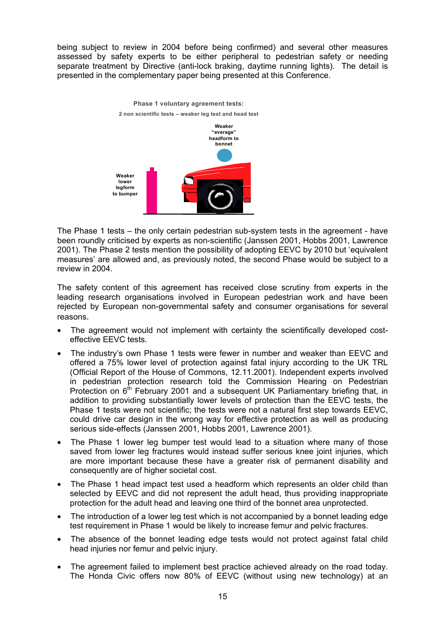being subject to review in 2004 before being confirmed) and several other measures assessed by safety experts to be either peripheral to pedestrian safety or needing separate treatment by Directive (anti-lock braking, daytime running lights). The detail is presented in the complementary paper being presented at this Conference.



The Phase 1 tests – the only certain pedestrian sub-system tests in the agreement - have been roundly criticised by experts as non-scientific (Janssen 2001, Hobbs 2001, Lawrence 2001). The Phase 2 tests mention the possibility of adopting EEVC by 2010 but 'equivalent measures' are allowed and, as previously noted, the second Phase would be subject to a review in 2004.

The safety content of this agreement has received close scrutiny from experts in the leading research organisations involved in European pedestrian work and have been rejected by European non-governmental safety and consumer organisations for several reasons.

- The agreement would not implement with certainty the scientifically developed costeffective EEVC tests.
- The industry's own Phase 1 tests were fewer in number and weaker than EEVC and offered a 75% lower level of protection against fatal injury according to the UK TRL (Official Report of the House of Commons, 12.11.2001). Independent experts involved in pedestrian protection research told the Commission Hearing on Pedestrian Protection on  $6<sup>th</sup>$  February 2001 and a subsequent UK Parliamentary briefing that, in addition to providing substantially lower levels of protection than the EEVC tests, the Phase 1 tests were not scientific; the tests were not a natural first step towards EEVC, could drive car design in the wrong way for effective protection as well as producing serious side-effects (Janssen 2001, Hobbs 2001, Lawrence 2001).
- The Phase 1 lower leg bumper test would lead to a situation where many of those saved from lower leg fractures would instead suffer serious knee joint injuries, which are more important because these have a greater risk of permanent disability and consequently are of higher societal cost.
- The Phase 1 head impact test used a headform which represents an older child than selected by EEVC and did not represent the adult head, thus providing inappropriate protection for the adult head and leaving one third of the bonnet area unprotected.
- The introduction of a lower leg test which is not accompanied by a bonnet leading edge test requirement in Phase 1 would be likely to increase femur and pelvic fractures.
- The absence of the bonnet leading edge tests would not protect against fatal child head injuries nor femur and pelvic injury.
- The agreement failed to implement best practice achieved already on the road today. The Honda Civic offers now 80% of EEVC (without using new technology) at an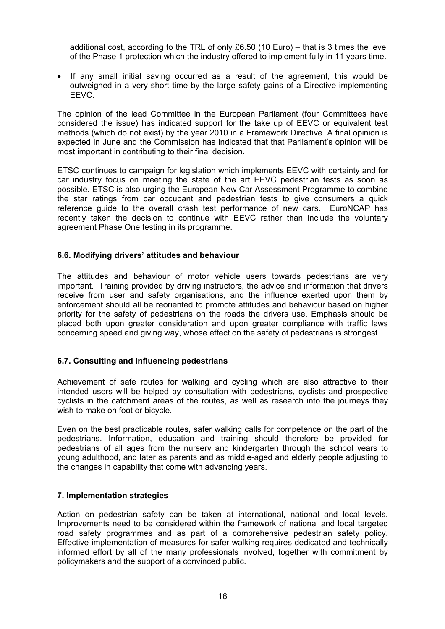additional cost, according to the TRL of only  $£6.50$  (10 Euro) – that is 3 times the level of the Phase 1 protection which the industry offered to implement fully in 11 years time.

If any small initial saving occurred as a result of the agreement, this would be outweighed in a very short time by the large safety gains of a Directive implementing EEVC.

The opinion of the lead Committee in the European Parliament (four Committees have considered the issue) has indicated support for the take up of EEVC or equivalent test methods (which do not exist) by the year 2010 in a Framework Directive. A final opinion is expected in June and the Commission has indicated that that Parliament's opinion will be most important in contributing to their final decision.

ETSC continues to campaign for legislation which implements EEVC with certainty and for car industry focus on meeting the state of the art EEVC pedestrian tests as soon as possible. ETSC is also urging the European New Car Assessment Programme to combine the star ratings from car occupant and pedestrian tests to give consumers a quick reference guide to the overall crash test performance of new cars. EuroNCAP has recently taken the decision to continue with EEVC rather than include the voluntary agreement Phase One testing in its programme.

## **6.6. Modifying drivers' attitudes and behaviour**

The attitudes and behaviour of motor vehicle users towards pedestrians are very important. Training provided by driving instructors, the advice and information that drivers receive from user and safety organisations, and the influence exerted upon them by enforcement should all be reoriented to promote attitudes and behaviour based on higher priority for the safety of pedestrians on the roads the drivers use. Emphasis should be placed both upon greater consideration and upon greater compliance with traffic laws concerning speed and giving way, whose effect on the safety of pedestrians is strongest.

# **6.7. Consulting and influencing pedestrians**

Achievement of safe routes for walking and cycling which are also attractive to their intended users will be helped by consultation with pedestrians, cyclists and prospective cyclists in the catchment areas of the routes, as well as research into the journeys they wish to make on foot or bicycle.

Even on the best practicable routes, safer walking calls for competence on the part of the pedestrians. Information, education and training should therefore be provided for pedestrians of all ages from the nursery and kindergarten through the school years to young adulthood, and later as parents and as middle-aged and elderly people adjusting to the changes in capability that come with advancing years.

## **7. Implementation strategies**

Action on pedestrian safety can be taken at international, national and local levels. Improvements need to be considered within the framework of national and local targeted road safety programmes and as part of a comprehensive pedestrian safety policy. Effective implementation of measures for safer walking requires dedicated and technically informed effort by all of the many professionals involved, together with commitment by policymakers and the support of a convinced public.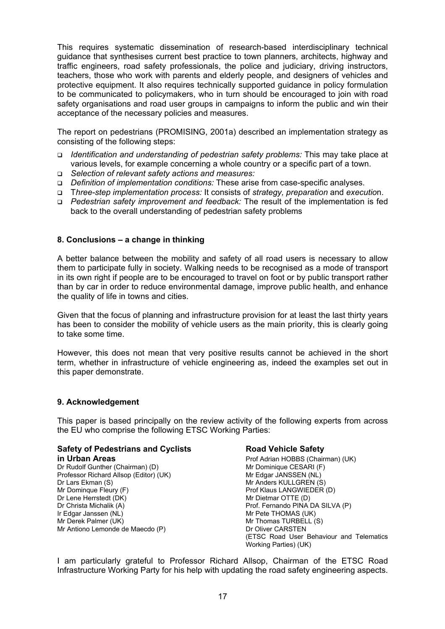This requires systematic dissemination of research-based interdisciplinary technical guidance that synthesises current best practice to town planners, architects, highway and traffic engineers, road safety professionals, the police and judiciary, driving instructors, teachers, those who work with parents and elderly people, and designers of vehicles and protective equipment. It also requires technically supported guidance in policy formulation to be communicated to policymakers, who in turn should be encouraged to join with road safety organisations and road user groups in campaigns to inform the public and win their acceptance of the necessary policies and measures.

The report on pedestrians (PROMISING, 2001a) described an implementation strategy as consisting of the following steps:

- *Identification and understanding of pedestrian safety problems:* This may take place at various levels, for example concerning a whole country or a specific part of a town.
- *Selection of relevant safety actions and measures:*
- *Definition of implementation conditions:* These arise from case-specific analyses.
- T*hree-step implementation process:* It consists of *strategy, preparation* and *executio*n.
- *Pedestrian safety improvement and feedback:* The result of the implementation is fed back to the overall understanding of pedestrian safety problems

#### **8. Conclusions – a change in thinking**

A better balance between the mobility and safety of all road users is necessary to allow them to participate fully in society. Walking needs to be recognised as a mode of transport in its own right if people are to be encouraged to travel on foot or by public transport rather than by car in order to reduce environmental damage, improve public health, and enhance the quality of life in towns and cities.

Given that the focus of planning and infrastructure provision for at least the last thirty years has been to consider the mobility of vehicle users as the main priority, this is clearly going to take some time.

However, this does not mean that very positive results cannot be achieved in the short term, whether in infrastructure of vehicle engineering as, indeed the examples set out in this paper demonstrate.

#### **9. Acknowledgement**

This paper is based principally on the review activity of the following experts from across the EU who comprise the following ETSC Working Parties:

#### **Safety of Pedestrians and Cyclists Fig. 2. Road Vehicle Safety in Urban Areas Prof Adrian HOBBS (Chairman) (UK)**

Dr Rudolf Gunther (Chairman) (D) Mr Dominique CESARI (F) Professor Richard Allsop (Editor) (UK) Mr Edgar JANSSEN (NL) Dr Lars Ekman (S) Mr Anders KULLGREN (S) Mr Dominque Fleury (F)  $\rho$  and the extendion of the Prof Klaus LANGWIEDER (D) Dr Lene Herrstedt (DK) Mr Dietmar OTTE (D) Dr Christa Michalik (A) **Prof. Fernando PINA DA SILVA (P)** Prof. Fernando PINA DA SILVA (P) Ir Edgar Janssen (NL) and the UK and the UK and Mr Pete THOMAS (UK) Mr Derek Palmer (UK) Mr Thomas TURBELL (S)<br>Mr Antiono Lemonde de Maecdo (P) Mr Antiono Lemonde de Maecdo (P) Mr Antiono Lemonde de Maecdo (P)

(ETSC Road User Behaviour and Telematics Working Parties) (UK)

I am particularly grateful to Professor Richard Allsop, Chairman of the ETSC Road Infrastructure Working Party for his help with updating the road safety engineering aspects.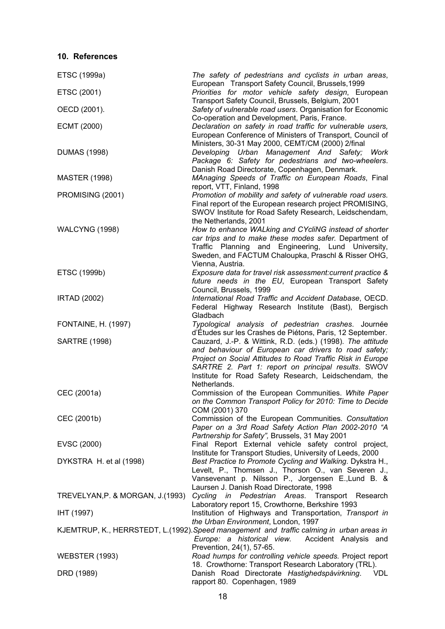# **10. References**

| ETSC (1999a)                      | The safety of pedestrians and cyclists in urban areas,                                                                                                                                                                                                                                                            |
|-----------------------------------|-------------------------------------------------------------------------------------------------------------------------------------------------------------------------------------------------------------------------------------------------------------------------------------------------------------------|
| ETSC (2001)                       | European Transport Safety Council, Brussels, 1999<br>Priorities for motor vehicle safety design, European<br>Transport Safety Council, Brussels, Belgium, 2001                                                                                                                                                    |
| OECD (2001).                      | Safety of vulnerable road users. Organisation for Economic                                                                                                                                                                                                                                                        |
| ECMT (2000)                       | Co-operation and Development, Paris, France.<br>Declaration on safety in road traffic for vulnerable users,<br>European Conference of Ministers of Transport, Council of                                                                                                                                          |
| <b>DUMAS (1998)</b>               | Ministers, 30-31 May 2000, CEMT/CM (2000) 2/final<br>Developing Urban Management And Safety; Work<br>Package 6: Safety for pedestrians and two-wheelers.                                                                                                                                                          |
| <b>MASTER (1998)</b>              | Danish Road Directorate, Copenhagen, Denmark.<br>MAnaging Speeds of Traffic on European Roads, Final<br>report, VTT, Finland, 1998                                                                                                                                                                                |
| PROMISING (2001)                  | Promotion of mobility and safety of vulnerable road users.<br>Final report of the European research project PROMISING,<br>SWOV Institute for Road Safety Research, Leidschendam,                                                                                                                                  |
| <b>WALCYNG (1998)</b>             | the Netherlands, 2001<br>How to enhance WALking and CYcliNG instead of shorter<br>car trips and to make these modes safer. Department of<br>Traffic Planning and Engineering, Lund University,<br>Sweden, and FACTUM Chaloupka, Praschl & Risser OHG,                                                             |
| ETSC (1999b)                      | Vienna, Austria.<br>Exposure data for travel risk assessment: current practice &<br>future needs in the EU, European Transport Safety                                                                                                                                                                             |
| <b>IRTAD (2002)</b>               | Council, Brussels, 1999<br>International Road Traffic and Accident Database, OECD.<br>Federal Highway Research Institute (Bast), Bergisch<br>Gladbach                                                                                                                                                             |
| <b>FONTAINE, H. (1997)</b>        | Typological analysis of pedestrian crashes. Journée<br>d'Études sur les Crashes de Piétons, Paris, 12 September.                                                                                                                                                                                                  |
| <b>SARTRE (1998)</b>              | Cauzard, J.-P. & Wittink, R.D. (eds.) (1998). The attitude<br>and behaviour of European car drivers to road safety;<br>Project on Social Attitudes to Road Traffic Risk in Europe<br>SARTRE 2. Part 1: report on principal results. SWOV<br>Institute for Road Safety Research, Leidschendam, the<br>Netherlands. |
| CEC (2001a)                       | Commission of the European Communities. White Paper<br>on the Common Transport Policy for 2010: Time to Decide<br>COM (2001) 370                                                                                                                                                                                  |
| CEC (2001b)                       | Commission of the European Communities. Consultation<br>Paper on a 3rd Road Safety Action Plan 2002-2010 "A<br>Partnership for Safety", Brussels, 31 May 2001                                                                                                                                                     |
| EVSC (2000)                       | Final Report External vehicle safety control project,<br>Institute for Transport Studies, University of Leeds, 2000                                                                                                                                                                                               |
| DYKSTRA H. et al (1998)           | Best Practice to Promote Cycling and Walking. Dykstra H.,<br>Levelt, P., Thomsen J., Thorson O., van Severen J.,<br>Vansevenant p. Nilsson P., Jorgensen E., Lund B. &<br>Laursen J. Danish Road Directorate, 1998                                                                                                |
| TREVELYAN, P. & MORGAN, J. (1993) | Cycling in Pedestrian Areas. Transport Research<br>Laboratory report 15, Crowthorne, Berkshire 1993                                                                                                                                                                                                               |
| IHT (1997)                        | Institution of Highways and Transportation, Transport in<br>the Urban Environment, London, 1997                                                                                                                                                                                                                   |
|                                   | KJEMTRUP, K., HERRSTEDT, L. (1992). Speed management and traffic calming in urban areas in<br>Europe: a historical view. Accident Analysis and<br>Prevention, 24(1), 57-65.                                                                                                                                       |
| <b>WEBSTER (1993)</b>             | Road humps for controlling vehicle speeds. Project report                                                                                                                                                                                                                                                         |
| DRD (1989)                        | 18. Crowthorne: Transport Research Laboratory (TRL).<br>Danish Road Directorate Hastighedspåvirkning. VDL<br>rapport 80. Copenhagen, 1989                                                                                                                                                                         |